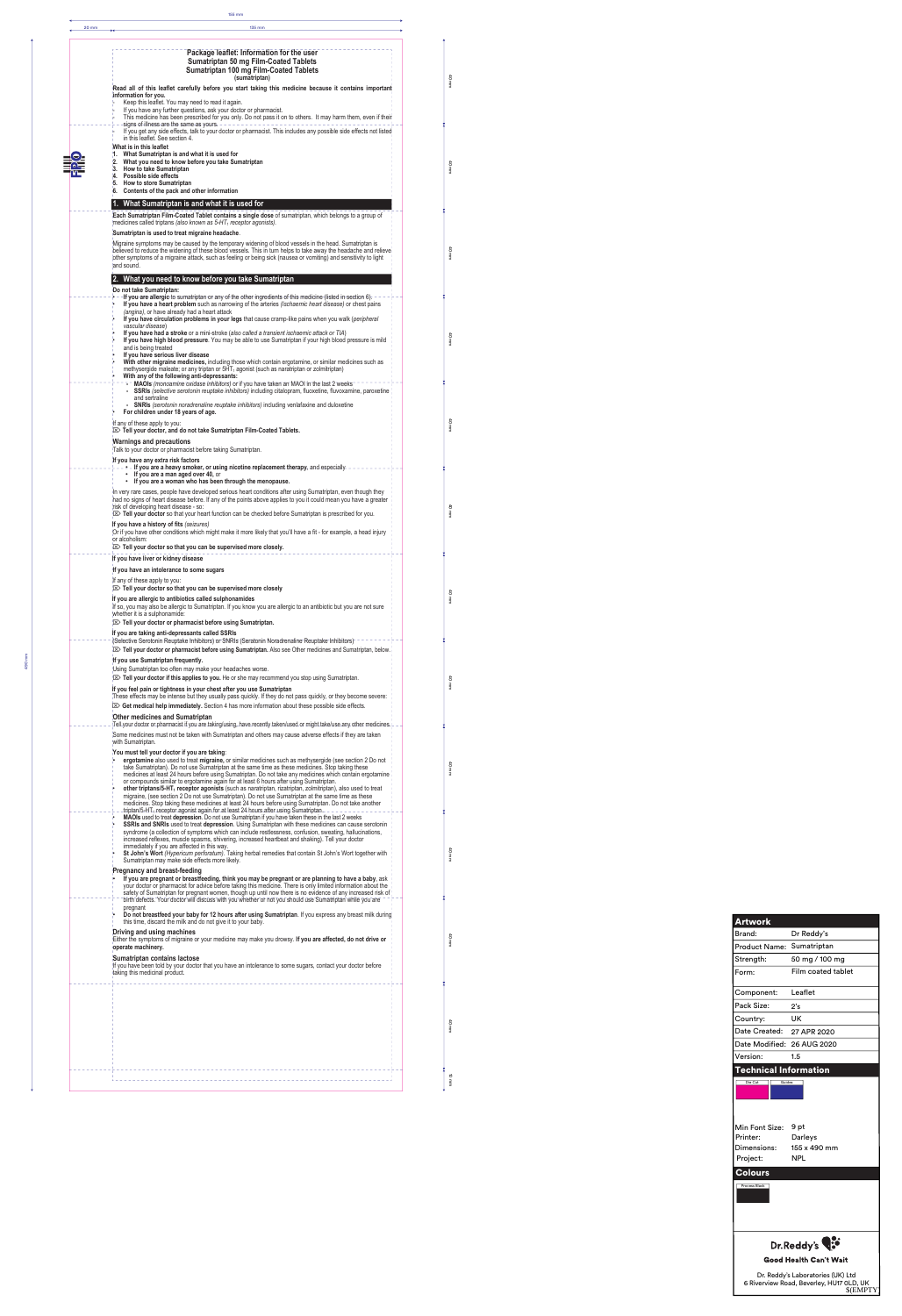|  | Package leaflet: Information for the user<br><b>Sumatriptan 50 mg Film-Coated Tablets</b><br><b>Sumatriptan 100 mg Film-Coated Tablets</b>                                                                                                                                                                                                                                                                                                                                                                                              |  |
|--|-----------------------------------------------------------------------------------------------------------------------------------------------------------------------------------------------------------------------------------------------------------------------------------------------------------------------------------------------------------------------------------------------------------------------------------------------------------------------------------------------------------------------------------------|--|
|  | (sumatriptan)<br>Read all of this leaflet carefully before you start taking this medicine because it contains important                                                                                                                                                                                                                                                                                                                                                                                                                 |  |
|  | information for you.<br>Keep this leaflet. You may need to read it again.                                                                                                                                                                                                                                                                                                                                                                                                                                                               |  |
|  | If you have any further questions, ask your doctor or pharmacist.<br>This medicine has been prescribed for you only. Do not pass it on to others. It may harm them, even if their<br>signs of illness are the same as yours. -<br>If you get any side effects, talk to your doctor or pharmacist. This includes any possible side effects not listed                                                                                                                                                                                    |  |
|  | in this leaflet. See section 4.<br>What is in this leaflet                                                                                                                                                                                                                                                                                                                                                                                                                                                                              |  |
|  | 1.<br>What Sumatriptan is and what it is used for<br>What you need to know before you take Sumatriptan<br>2.<br>3. How to take Sumatriptan                                                                                                                                                                                                                                                                                                                                                                                              |  |
|  | Possible side effects<br>Ά.<br>5. How to store Sumatriptan                                                                                                                                                                                                                                                                                                                                                                                                                                                                              |  |
|  | 6. Contents of the pack and other information<br>What Sumatriptan is and what it is used for                                                                                                                                                                                                                                                                                                                                                                                                                                            |  |
|  | Each Sumatriptan Film-Coated Tablet contains a single dose of sumatriptan, which belongs to a group of                                                                                                                                                                                                                                                                                                                                                                                                                                  |  |
|  | medicines called triptans (also known as 5-HT <sub>1</sub> receptor agonists).<br>Sumatriptan is used to treat migraine headache.                                                                                                                                                                                                                                                                                                                                                                                                       |  |
|  | Migraine symptoms may be caused by the temporary widening of blood vessels in the head. Sumatriptan is<br>believed to reduce the widening of these blood vessels. This in turn helps to take away the headache and relieve<br>other symptoms of a migraine attack, such as feeling or being sick (nausea or vomiting) and sensitivity to light<br>and sound.                                                                                                                                                                            |  |
|  | 2. What you need to know before you take Sumatriptan                                                                                                                                                                                                                                                                                                                                                                                                                                                                                    |  |
|  | Do not take Sumatriptan:<br>If you are allergic to sumatriptan or any of the other ingredients of this medicine (listed in section 6).<br>If you have a heart problem such as narrowing of the arteries (Ischaemic heart disease) or chest pains<br>(angina), or have already had a heart attack                                                                                                                                                                                                                                        |  |
|  | If you have circulation problems in your legs that cause cramp-like pains when you walk (peripheral<br>vascular disease)<br>If you have had a stroke or a mini-stroke (also called a transient ischaemic attack or TIA)                                                                                                                                                                                                                                                                                                                 |  |
|  | If you have high blood pressure. You may be able to use Sumatriptan if your high blood pressure is mild<br>and is being treated<br>If you have serious liver disease                                                                                                                                                                                                                                                                                                                                                                    |  |
|  | With other migraine medicines, including those which contain ergotamine, or similar medicines such as<br>methysergide maleate; or any triptan or 5HT <sub>1</sub> agonist (such as naratriptan or zolmitriptan)<br>With any of the following anti-depressants:                                                                                                                                                                                                                                                                          |  |
|  | MAOIs (monoamine oxidase inhibitors) or if you have taken an MAOI in the last 2 weeks<br>SSRIs (selective serotonin reuptake inhibitors) including citalopram, fluoxetine, fluvoxamine, paroxetine<br>and sertraline<br><b>SNRIs</b> (serotonin noradrenaline reuptake inhibitors) including venlafaxine and duloxetine                                                                                                                                                                                                                 |  |
|  | For children under 18 years of age.<br>If any of these apply to you:<br>IE Tell your doctor, and do not take Sumatriptan Film-Coated Tablets.                                                                                                                                                                                                                                                                                                                                                                                           |  |
|  | <b>Warnings and precautions</b><br>Talk to your doctor or pharmacist before taking Sumatriptan.                                                                                                                                                                                                                                                                                                                                                                                                                                         |  |
|  | If you have any extra risk factors<br>- If you are a heavy smoker, or using nicotine replacement therapy, and especially -<br>• If you are a man aged over 40, or                                                                                                                                                                                                                                                                                                                                                                       |  |
|  | • If you are a woman who has been through the menopause.<br>In very rare cases, people have developed serious heart conditions after using Sumatriptan, even though they<br>had no signs of heart disease before. If any of the points above applies to you it could mean you have a greater<br>risk of developing heart disease - so:                                                                                                                                                                                                  |  |
|  | <b>EX Tell your doctor</b> so that your heart function can be checked before Sumatriptan is prescribed for you.<br>If you have a history of fits (seizures)<br>Or if you have other conditions which might make it more likely that you'll have a fit - for example, a head injury<br>or alcoholism:                                                                                                                                                                                                                                    |  |
|  | $\mathbb{Z}$ Tell your doctor so that you can be supervised more closely.<br>If you have liver or kidney disease                                                                                                                                                                                                                                                                                                                                                                                                                        |  |
|  | If you have an intolerance to some sugars                                                                                                                                                                                                                                                                                                                                                                                                                                                                                               |  |
|  | If any of these apply to you:<br>$\mathbb{Z}$ Tell your doctor so that you can be supervised more closely                                                                                                                                                                                                                                                                                                                                                                                                                               |  |
|  | If you are allergic to antibiotics called sulphonamides<br>If so, you may also be allergic to Sumatriptan. If you know you are allergic to an antibiotic but you are not sure<br>whether it is a sulphonamide:                                                                                                                                                                                                                                                                                                                          |  |
|  | $\mathbb{Z}$ Tell your doctor or pharmacist before using Sumatriptan.<br>If you are taking anti-depressants called SSRIs                                                                                                                                                                                                                                                                                                                                                                                                                |  |
|  | (Selective Serotonin Reuptake Inhibitors) or SNRIs (Seratonin Noradrenaline Reuptake Inhibitors)<br>IZ Tell your doctor or pharmacist before using Sumatriptan. Also see Other medicines and Sumatriptan, below.                                                                                                                                                                                                                                                                                                                        |  |
|  | If you use Sumatriptan frequently.                                                                                                                                                                                                                                                                                                                                                                                                                                                                                                      |  |
|  | Using Sumatriptan too often may make your headaches worse.<br><b>IS&gt;</b> Tell your doctor if this applies to you. He or she may recommend you stop using Sumatriptan.                                                                                                                                                                                                                                                                                                                                                                |  |
|  | If you feel pain or tightness in your chest after you use Sumatriptan<br>These effects may be intense but they usually pass quickly. If they do not pass quickly, or they become severe:                                                                                                                                                                                                                                                                                                                                                |  |
|  | $\boxtimes$ Get medical help immediately. Section 4 has more information about these possible side effects.<br><b>Other medicines and Sumatriptan</b>                                                                                                                                                                                                                                                                                                                                                                                   |  |
|  | Tell your doctor or pharmacist if you are taking/using, have recently taken/used or might take/use any other medicines.<br>Some medicines must not be taken with Sumatriptan and others may cause adverse effects if they are taken<br>with Sumatriptan.                                                                                                                                                                                                                                                                                |  |
|  | You must tell your doctor if you are taking:<br>ergotamine also used to treat migraine, or similar medicines such as methysergide (see section 2 Do not                                                                                                                                                                                                                                                                                                                                                                                 |  |
|  | take Sumatriptan). Do not use Sumatriptan at the same time as these medicines. Stop taking these<br>medicines at least 24 hours before using Sumatriptan. Do not take any medicines which contain ergotamine<br>or compounds similar to ergotamine again for at least 6 hours after using Sumatriptan.<br>other triptans/5-HT <sub>1</sub> receptor agonists (such as naratriptan, rizatriptan, zolmitriptan), also used to treat<br>migraine, (see section 2 Do not use Sumatriptan). Do not use Sumatriptan at the same time as these |  |
|  | medicines. Stop taking these medicines at least 24 hours before using Sumatriptan. Do not take another<br>triptan/5-HT <sub>1</sub> receptor agonist again for at least 24 hours after using Sumatriptan.                                                                                                                                                                                                                                                                                                                               |  |
|  | MAOIs used to treat depression. Do not use Sumatriptan if you have taken these in the last 2 weeks<br>SSRIs and SNRIs used to treat depression. Using Sumatriptan with these medicines can cause serotonin<br>syndrome (a collection of symptoms which can include restlessness, confusion, sweating, hallucinations,<br>increased reflexes, muscle spasms, shivering, increased heartbeat and shaking). Tell your doctor                                                                                                               |  |
|  | immediately if you are affected in this way.<br>St John's Wort (Hypericum perforatum). Taking herbal remedies that contain St John's Wort together with<br>Sumatriptan may make side effects more likely.                                                                                                                                                                                                                                                                                                                               |  |
|  | <b>Pregnancy and breast-feeding</b><br>If you are pregnant or breastfeeding, think you may be pregnant or are planning to have a baby, ask<br>your doctor or pharmacist for advice before taking this medicine. There is only limited information about the<br>safety of Sumatriptan for pregnant women, though up until now there is no evidence of any increased risk of                                                                                                                                                              |  |
|  | birth defects. Your doctor will discuss with you whether or not you should use Sumatriptan while you are<br>pregnant<br>Do not breastfeed your baby for 12 hours after using Sumatriptan. If you express any breast milk during<br>this time, discard the milk and do not give it to your baby.                                                                                                                                                                                                                                         |  |
|  | Driving and using machines<br>Either the symptoms of migraine or your medicine may make you drowsy. If you are affected, do not drive or<br>operate machinery.                                                                                                                                                                                                                                                                                                                                                                          |  |
|  | Sumatriptan contains lactose<br>If you have been told by your doctor that you have an intolerance to some sugars, contact your doctor before<br>taking this medicinal product.                                                                                                                                                                                                                                                                                                                                                          |  |
|  |                                                                                                                                                                                                                                                                                                                                                                                                                                                                                                                                         |  |
|  |                                                                                                                                                                                                                                                                                                                                                                                                                                                                                                                                         |  |
|  |                                                                                                                                                                                                                                                                                                                                                                                                                                                                                                                                         |  |
|  |                                                                                                                                                                                                                                                                                                                                                                                                                                                                                                                                         |  |

40 mm

40 mm

40 mm

40 mm

40 mm

40 mm

40 mm

40 mm

40 mm

40 mm

40 mm

40 mm

10 mm

| <b>Artwork</b>               |                                                                                           |
|------------------------------|-------------------------------------------------------------------------------------------|
| Brand:                       | Dr Reddy's                                                                                |
| <b>Product Name:</b>         | Sumatriptan                                                                               |
| Strength:                    | 50 mg / 100 mg                                                                            |
| Form:                        | Film coated tablet                                                                        |
| Component:                   | Leaflet                                                                                   |
| Pack Size:                   | 2's                                                                                       |
| Country:                     | UK                                                                                        |
| Date Created:                | 27 APR 2020                                                                               |
| Date Modified:               | 26 AUG 2020                                                                               |
| Version:                     | 1.5                                                                                       |
| <b>Technical Information</b> |                                                                                           |
| Min Font Size:               | 9 pt                                                                                      |
| Printer:                     | Darleys                                                                                   |
| Dimensions:                  | 155 x 490 mm                                                                              |
| Project:                     | NPL                                                                                       |
| <b>Colours</b>               |                                                                                           |
| <b>Process Black</b>         |                                                                                           |
|                              | Dr.Reddy's                                                                                |
|                              | <b>Good Health Can't Wait</b>                                                             |
|                              | Dr. Reddy's Laboratories (UK) Ltd<br>6 Riverview Road, Beverley, HU17 OLD, UK<br>\$(EMPTY |